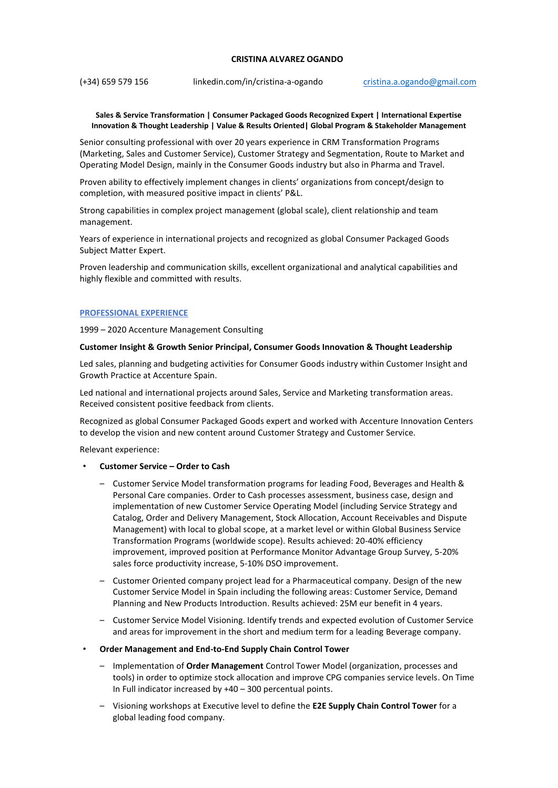# **CRISTINA ALVAREZ OGANDO**

(+34) 659 579 156 linkedin.com/in/cristina-a-ogando [cristina.a.ogando@gmail.com](mailto:cristina.a.ogando@gmail.com)

### **Sales & Service Transformation | Consumer Packaged Goods Recognized Expert | International Expertise Innovation & Thought Leadership | Value & Results Oriented| Global Program & Stakeholder Management**

Senior consulting professional with over 20 years experience in CRM Transformation Programs (Marketing, Sales and Customer Service), Customer Strategy and Segmentation, Route to Market and Operating Model Design, mainly in the Consumer Goods industry but also in Pharma and Travel.

Proven ability to effectively implement changes in clients' organizations from concept/design to completion, with measured positive impact in clients' P&L.

Strong capabilities in complex project management (global scale), client relationship and team management.

Years of experience in international projects and recognized as global Consumer Packaged Goods Subject Matter Expert.

Proven leadership and communication skills, excellent organizational and analytical capabilities and highly flexible and committed with results.

# **PROFESSIONAL EXPERIENCE**

1999 – 2020 Accenture Management Consulting

### **Customer Insight & Growth Senior Principal, Consumer Goods Innovation & Thought Leadership**

Led sales, planning and budgeting activities for Consumer Goods industry within Customer Insight and Growth Practice at Accenture Spain.

Led national and international projects around Sales, Service and Marketing transformation areas. Received consistent positive feedback from clients.

Recognized as global Consumer Packaged Goods expert and worked with Accenture Innovation Centers to develop the vision and new content around Customer Strategy and Customer Service.

Relevant experience:

- **Customer Service – Order to Cash**
	- Customer Service Model transformation programs for leading Food, Beverages and Health & Personal Care companies. Order to Cash processes assessment, business case, design and implementation of new Customer Service Operating Model (including Service Strategy and Catalog, Order and Delivery Management, Stock Allocation, Account Receivables and Dispute Management) with local to global scope, at a market level or within Global Business Service Transformation Programs (worldwide scope). Results achieved: 20-40% efficiency improvement, improved position at Performance Monitor Advantage Group Survey, 5-20% sales force productivity increase, 5-10% DSO improvement.
	- Customer Oriented company project lead for a Pharmaceutical company. Design of the new Customer Service Model in Spain including the following areas: Customer Service, Demand Planning and New Products Introduction. Results achieved: 25M eur benefit in 4 years.
	- Customer Service Model Visioning. Identify trends and expected evolution of Customer Service and areas for improvement in the short and medium term for a leading Beverage company.
- **Order Management and End-to-End Supply Chain Control Tower**
	- Implementation of **Order Management** Control Tower Model (organization, processes and tools) in order to optimize stock allocation and improve CPG companies service levels. On Time In Full indicator increased by +40 – 300 percentual points.
	- Visioning workshops at Executive level to define the **E2E Supply Chain Control Tower** for a global leading food company.